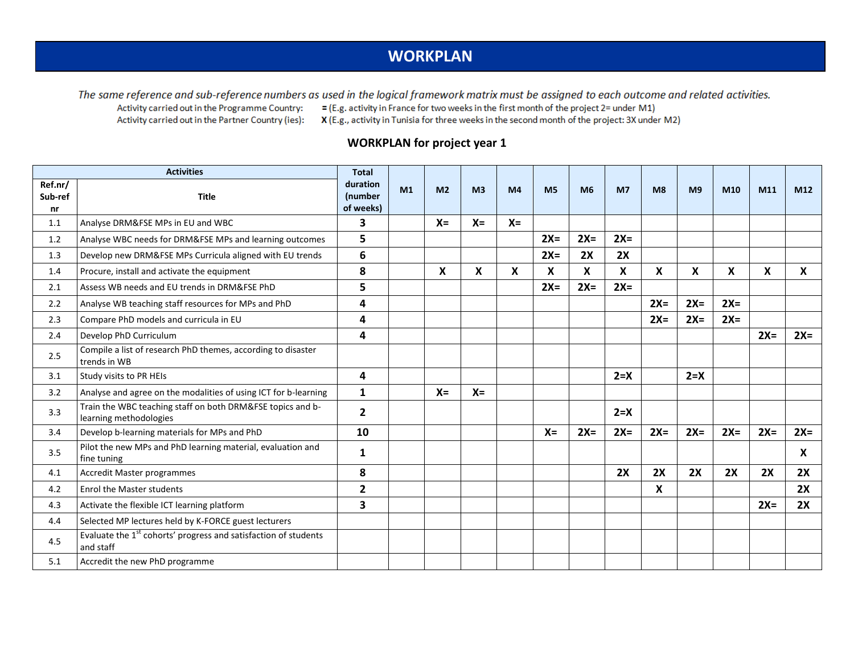## **WORKPLAN**

The same reference and sub-reference numbers as used in the logical framework matrix must be assigned to each outcome and related activities. Activity carried out in the Programme Country:

 $=$  (E.g. activity in France for two weeks in the first month of the project 2= under M1)

Activity carried out in the Partner Country (ies):

X (E.g., activity in Tunisia for three weeks in the second month of the project: 3X under M2)

## **WORKPLAN for project year 1**

|                    | <b>Activities</b>                                                                        |                     |    |                |                |                |                |                |                |                |                |       |       |       |
|--------------------|------------------------------------------------------------------------------------------|---------------------|----|----------------|----------------|----------------|----------------|----------------|----------------|----------------|----------------|-------|-------|-------|
| Ref.nr/<br>Sub-ref | <b>Title</b>                                                                             | duration<br>(number | M1 | M <sub>2</sub> | M <sub>3</sub> | M <sub>4</sub> | M <sub>5</sub> | M <sub>6</sub> | M <sub>7</sub> | M <sub>8</sub> | M <sub>9</sub> | M10   | M11   | M12   |
| nr                 |                                                                                          | of weeks)           |    |                |                |                |                |                |                |                |                |       |       |       |
| 1.1                | Analyse DRM&FSE MPs in EU and WBC                                                        | 3                   |    | $X =$          | $X =$          | $X =$          |                |                |                |                |                |       |       |       |
| 1.2                | Analyse WBC needs for DRM&FSE MPs and learning outcomes                                  | 5                   |    |                |                |                | $2X=$          | $2X=$          | $2X=$          |                |                |       |       |       |
| 1.3                | Develop new DRM&FSE MPs Curricula aligned with EU trends                                 | 6                   |    |                |                |                | $2X=$          | 2X             | 2X             |                |                |       |       |       |
| 1.4                | Procure, install and activate the equipment                                              | 8                   |    | X              | X              | X              | X              | X              | X              | X              | X              | X     | X     | X     |
| 2.1                | Assess WB needs and EU trends in DRM&FSE PhD                                             | 5                   |    |                |                |                | $2X=$          | $2X=$          | $2X=$          |                |                |       |       |       |
| 2.2                | Analyse WB teaching staff resources for MPs and PhD                                      | 4                   |    |                |                |                |                |                |                | $2X=$          | $2X=$          | $2X=$ |       |       |
| 2.3                | Compare PhD models and curricula in EU                                                   | 4                   |    |                |                |                |                |                |                | $2X=$          | $2X=$          | $2X=$ |       |       |
| 2.4                | Develop PhD Curriculum                                                                   | 4                   |    |                |                |                |                |                |                |                |                |       | $2X=$ | $2X=$ |
| 2.5                | Compile a list of research PhD themes, according to disaster<br>trends in WB             |                     |    |                |                |                |                |                |                |                |                |       |       |       |
| 3.1                | Study visits to PR HEIs                                                                  | 4                   |    |                |                |                |                |                | $2 = X$        |                | $2 = X$        |       |       |       |
| 3.2                | Analyse and agree on the modalities of using ICT for b-learning                          | $\mathbf{1}$        |    | $X =$          | $X =$          |                |                |                |                |                |                |       |       |       |
| 3.3                | Train the WBC teaching staff on both DRM&FSE topics and b-<br>learning methodologies     | $\mathbf{2}$        |    |                |                |                |                |                | $2 = X$        |                |                |       |       |       |
| 3.4                | Develop b-learning materials for MPs and PhD                                             | 10                  |    |                |                |                | $X =$          | $2X=$          | $2X=$          | $2X=$          | $2X=$          | $2X=$ | $2X=$ | $2X=$ |
| 3.5                | Pilot the new MPs and PhD learning material, evaluation and<br>fine tuning               | 1                   |    |                |                |                |                |                |                |                |                |       |       | X     |
| 4.1                | Accredit Master programmes                                                               | 8                   |    |                |                |                |                |                | 2X             | 2X             | 2X             | 2X    | 2X    | 2X    |
| 4.2                | <b>Enrol the Master students</b>                                                         | $\overline{2}$      |    |                |                |                |                |                |                | X              |                |       |       | 2X    |
| 4.3                | Activate the flexible ICT learning platform                                              | 3                   |    |                |                |                |                |                |                |                |                |       | $2X=$ | 2X    |
| 4.4                | Selected MP lectures held by K-FORCE guest lecturers                                     |                     |    |                |                |                |                |                |                |                |                |       |       |       |
| 4.5                | Evaluate the 1 <sup>st</sup> cohorts' progress and satisfaction of students<br>and staff |                     |    |                |                |                |                |                |                |                |                |       |       |       |
| 5.1                | Accredit the new PhD programme                                                           |                     |    |                |                |                |                |                |                |                |                |       |       |       |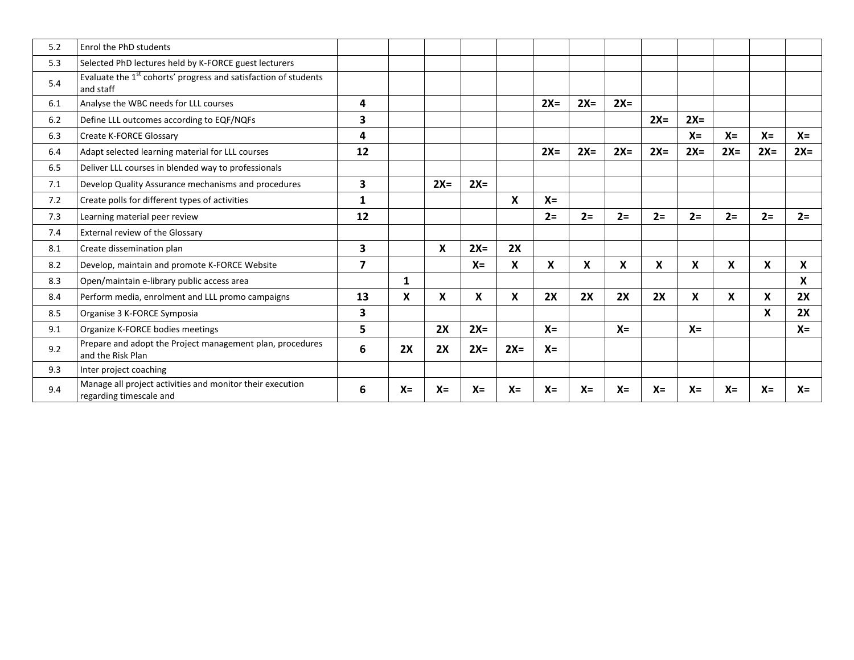| 5.2 | Enrol the PhD students                                                                   |                         |       |       |       |       |       |       |       |       |                           |       |       |                  |
|-----|------------------------------------------------------------------------------------------|-------------------------|-------|-------|-------|-------|-------|-------|-------|-------|---------------------------|-------|-------|------------------|
| 5.3 | Selected PhD lectures held by K-FORCE guest lecturers                                    |                         |       |       |       |       |       |       |       |       |                           |       |       |                  |
| 5.4 | Evaluate the 1 <sup>st</sup> cohorts' progress and satisfaction of students<br>and staff |                         |       |       |       |       |       |       |       |       |                           |       |       |                  |
| 6.1 | Analyse the WBC needs for LLL courses                                                    | 4                       |       |       |       |       | $2X=$ | $2X=$ | $2X=$ |       |                           |       |       |                  |
| 6.2 | Define LLL outcomes according to EQF/NQFs                                                | 3                       |       |       |       |       |       |       |       | $2X=$ | $2X=$                     |       |       |                  |
| 6.3 | Create K-FORCE Glossary                                                                  | 4                       |       |       |       |       |       |       |       |       | $X =$                     | $X =$ | $X =$ | $X =$            |
| 6.4 | Adapt selected learning material for LLL courses                                         | 12                      |       |       |       |       | $2X=$ | $2X=$ | $2X=$ | $2X=$ | $2X=$                     | $2X=$ | $2X=$ | $2X=$            |
| 6.5 | Deliver LLL courses in blended way to professionals                                      |                         |       |       |       |       |       |       |       |       |                           |       |       |                  |
| 7.1 | Develop Quality Assurance mechanisms and procedures                                      | 3                       |       | $2X=$ | $2X=$ |       |       |       |       |       |                           |       |       |                  |
| 7.2 | Create polls for different types of activities                                           | $\mathbf{1}$            |       |       |       | X     | $X =$ |       |       |       |                           |       |       |                  |
| 7.3 | Learning material peer review                                                            | 12                      |       |       |       |       | $2=$  | $2=$  | $2=$  | $2 =$ | $2=$                      | $2=$  | $2=$  | $2=$             |
| 7.4 | <b>External review of the Glossary</b>                                                   |                         |       |       |       |       |       |       |       |       |                           |       |       |                  |
| 8.1 | Create dissemination plan                                                                | 3                       |       | X     | $2X=$ | 2X    |       |       |       |       |                           |       |       |                  |
| 8.2 | Develop, maintain and promote K-FORCE Website                                            | $\overline{\mathbf{z}}$ |       |       | $X =$ | X     | X     | X     | X     | X     | X                         | X     | X     | $\boldsymbol{X}$ |
| 8.3 | Open/maintain e-library public access area                                               |                         | 1     |       |       |       |       |       |       |       |                           |       |       | $\mathsf{x}$     |
| 8.4 | Perform media, enrolment and LLL promo campaigns                                         | 13                      | X     | X     | X     | X     | 2X    | 2X    | 2X    | 2X    | $\boldsymbol{\mathsf{x}}$ | X     | X     | 2X               |
| 8.5 | Organise 3 K-FORCE Symposia                                                              | 3                       |       |       |       |       |       |       |       |       |                           |       | X     | 2X               |
| 9.1 | Organize K-FORCE bodies meetings                                                         | 5                       |       | 2X    | $2X=$ |       | $X =$ |       | $X =$ |       | $X =$                     |       |       | $X =$            |
| 9.2 | Prepare and adopt the Project management plan, procedures<br>and the Risk Plan           | 6                       | 2X    | 2X    | $2X=$ | $2X=$ | $X =$ |       |       |       |                           |       |       |                  |
| 9.3 | Inter project coaching                                                                   |                         |       |       |       |       |       |       |       |       |                           |       |       |                  |
| 9.4 | Manage all project activities and monitor their execution<br>regarding timescale and     | 6                       | $X =$ | $X =$ | $X =$ | $X =$ | $X =$ | $X =$ | $X =$ | $X =$ | $X =$                     | $X =$ | $X =$ | $X =$            |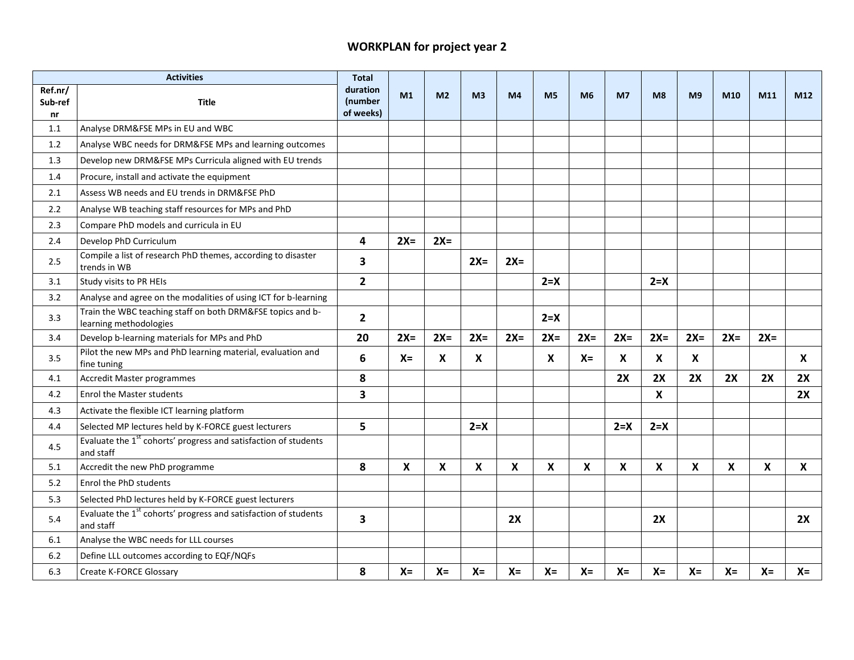## **WORKPLAN for project year 2**

|                          | <b>Activities</b>                                                                        | <b>Total</b>                     |                           |                |                |                |                |                |                           |                |                |                           |       |       |
|--------------------------|------------------------------------------------------------------------------------------|----------------------------------|---------------------------|----------------|----------------|----------------|----------------|----------------|---------------------------|----------------|----------------|---------------------------|-------|-------|
| Ref.nr/<br>Sub-ref<br>nr | Title                                                                                    | duration<br>(number<br>of weeks) | M1                        | M <sub>2</sub> | M <sub>3</sub> | M <sub>4</sub> | M <sub>5</sub> | M <sub>6</sub> | M7                        | M <sub>8</sub> | M <sub>9</sub> | M10                       | M11   | M12   |
| 1.1                      | Analyse DRM&FSE MPs in EU and WBC                                                        |                                  |                           |                |                |                |                |                |                           |                |                |                           |       |       |
| 1.2                      | Analyse WBC needs for DRM&FSE MPs and learning outcomes                                  |                                  |                           |                |                |                |                |                |                           |                |                |                           |       |       |
| 1.3                      | Develop new DRM&FSE MPs Curricula aligned with EU trends                                 |                                  |                           |                |                |                |                |                |                           |                |                |                           |       |       |
| 1.4                      | Procure, install and activate the equipment                                              |                                  |                           |                |                |                |                |                |                           |                |                |                           |       |       |
| 2.1                      | Assess WB needs and EU trends in DRM&FSE PhD                                             |                                  |                           |                |                |                |                |                |                           |                |                |                           |       |       |
| 2.2                      | Analyse WB teaching staff resources for MPs and PhD                                      |                                  |                           |                |                |                |                |                |                           |                |                |                           |       |       |
| 2.3                      | Compare PhD models and curricula in EU                                                   |                                  |                           |                |                |                |                |                |                           |                |                |                           |       |       |
| 2.4                      | Develop PhD Curriculum                                                                   | 4                                | $2X=$                     | $2X=$          |                |                |                |                |                           |                |                |                           |       |       |
| 2.5                      | Compile a list of research PhD themes, according to disaster<br>trends in WB             | 3                                |                           |                | $2X=$          | $2X=$          |                |                |                           |                |                |                           |       |       |
| 3.1                      | Study visits to PR HEIs                                                                  | $\mathbf{2}$                     |                           |                |                |                | $2 = X$        |                |                           | $2 = X$        |                |                           |       |       |
| 3.2                      | Analyse and agree on the modalities of using ICT for b-learning                          |                                  |                           |                |                |                |                |                |                           |                |                |                           |       |       |
| 3.3                      | Train the WBC teaching staff on both DRM&FSE topics and b-<br>learning methodologies     | $\overline{2}$                   |                           |                |                |                | $2 = X$        |                |                           |                |                |                           |       |       |
| 3.4                      | Develop b-learning materials for MPs and PhD                                             | 20                               | $2X=$                     | $2X=$          | $2X=$          | $2X=$          | $2X=$          | $2X=$          | $2X=$                     | $2X=$          | $2X=$          | $2X=$                     | $2X=$ |       |
| 3.5                      | Pilot the new MPs and PhD learning material, evaluation and<br>fine tuning               | 6                                | $X =$                     | X              | X              |                | X              | $X =$          | X                         | X              | X              |                           |       | X     |
| 4.1                      | Accredit Master programmes                                                               | 8                                |                           |                |                |                |                |                | 2X                        | 2X             | 2X             | 2X                        | 2X    | 2X    |
| 4.2                      | <b>Enrol the Master students</b>                                                         | $\overline{\mathbf{3}}$          |                           |                |                |                |                |                |                           | X              |                |                           |       | 2X    |
| 4.3                      | Activate the flexible ICT learning platform                                              |                                  |                           |                |                |                |                |                |                           |                |                |                           |       |       |
| 4.4                      | Selected MP lectures held by K-FORCE guest lecturers                                     | 5                                |                           |                | $2 = X$        |                |                |                | $2 = X$                   | $2 = X$        |                |                           |       |       |
| 4.5                      | Evaluate the 1 <sup>st</sup> cohorts' progress and satisfaction of students<br>and staff |                                  |                           |                |                |                |                |                |                           |                |                |                           |       |       |
| 5.1                      | Accredit the new PhD programme                                                           | 8                                | $\boldsymbol{\mathsf{X}}$ | X              | X              | X              | X              | X              | $\boldsymbol{\mathsf{X}}$ | X              | X              | $\boldsymbol{\mathsf{X}}$ | X     | X     |
| 5.2                      | Enrol the PhD students                                                                   |                                  |                           |                |                |                |                |                |                           |                |                |                           |       |       |
| 5.3                      | Selected PhD lectures held by K-FORCE guest lecturers                                    |                                  |                           |                |                |                |                |                |                           |                |                |                           |       |       |
| 5.4                      | Evaluate the 1 <sup>st</sup> cohorts' progress and satisfaction of students<br>and staff | 3                                |                           |                |                | 2X             |                |                |                           | 2X             |                |                           |       | 2X    |
| 6.1                      | Analyse the WBC needs for LLL courses                                                    |                                  |                           |                |                |                |                |                |                           |                |                |                           |       |       |
| 6.2                      | Define LLL outcomes according to EQF/NQFs                                                |                                  |                           |                |                |                |                |                |                           |                |                |                           |       |       |
| 6.3                      | Create K-FORCE Glossary                                                                  | 8                                | $X =$                     | $X =$          | $X =$          | $X =$          | $X =$          | $X =$          | $X =$                     | $X =$          | $X =$          | $X =$                     | $X =$ | $X =$ |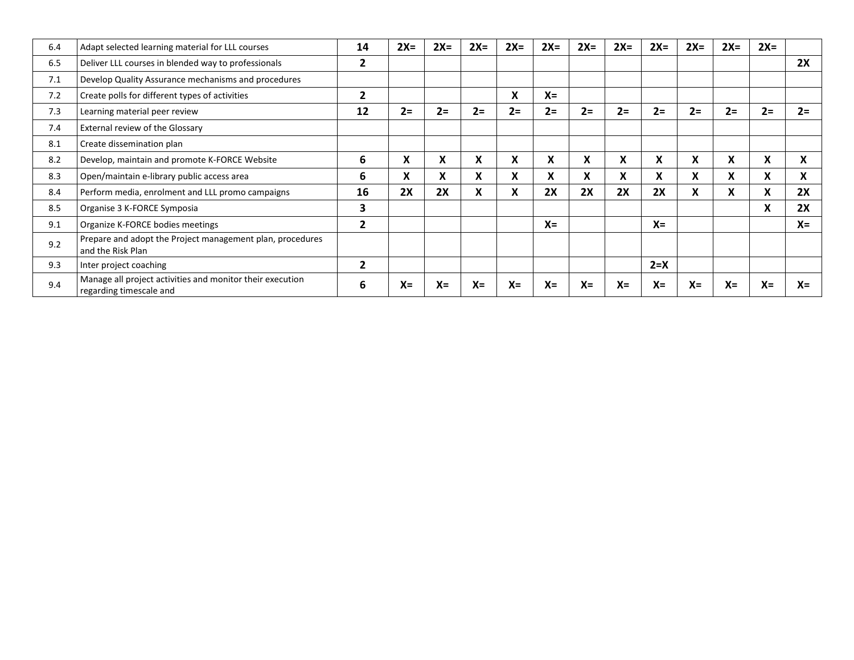| 6.4 | Adapt selected learning material for LLL courses                                     | 14             | $2X=$ | $2X=$ | $2X=$ | $2X=$                     | $2X=$ | $2X=$ | $2X=$ | $2X=$   | $2X=$ | $2X=$ | $2X=$ |       |
|-----|--------------------------------------------------------------------------------------|----------------|-------|-------|-------|---------------------------|-------|-------|-------|---------|-------|-------|-------|-------|
| 6.5 | Deliver LLL courses in blended way to professionals                                  | 2              |       |       |       |                           |       |       |       |         |       |       |       | 2X    |
| 7.1 | Develop Quality Assurance mechanisms and procedures                                  |                |       |       |       |                           |       |       |       |         |       |       |       |       |
| 7.2 | Create polls for different types of activities                                       | 2              |       |       |       | X                         | $X =$ |       |       |         |       |       |       |       |
| 7.3 | Learning material peer review                                                        | 12             | $2 =$ | $2=$  | $2=$  | $2 =$                     | $2 =$ | $2=$  | $2=$  | $2=$    | $2=$  | $2 =$ | $2=$  | $2=$  |
| 7.4 | External review of the Glossary                                                      |                |       |       |       |                           |       |       |       |         |       |       |       |       |
| 8.1 | Create dissemination plan                                                            |                |       |       |       |                           |       |       |       |         |       |       |       |       |
| 8.2 | Develop, maintain and promote K-FORCE Website                                        | 6              | X     | X     | X     | X                         | X     | X     | X     | X       | X     | X     | X     | X     |
| 8.3 | Open/maintain e-library public access area                                           | 6              | X     | X.    | X     | $\boldsymbol{\mathsf{x}}$ | X     | X     | X     | X       | X     | X     | X     | X     |
| 8.4 | Perform media, enrolment and LLL promo campaigns                                     | 16             | 2X    | 2X    | X     | X                         | 2X    | 2X    | 2X    | 2X      | X     | X     | X     | 2X    |
| 8.5 | Organise 3 K-FORCE Symposia                                                          | 3              |       |       |       |                           |       |       |       |         |       |       | X     | 2X    |
| 9.1 | Organize K-FORCE bodies meetings                                                     | 2              |       |       |       |                           | $X =$ |       |       | $X =$   |       |       |       | $X =$ |
| 9.2 | Prepare and adopt the Project management plan, procedures<br>and the Risk Plan       |                |       |       |       |                           |       |       |       |         |       |       |       |       |
| 9.3 | Inter project coaching                                                               | $\overline{2}$ |       |       |       |                           |       |       |       | $2 = X$ |       |       |       |       |
| 9.4 | Manage all project activities and monitor their execution<br>regarding timescale and | ь              | $X =$ | $X =$ | $X =$ | $X =$                     | $X =$ | $X =$ | $X =$ | $X =$   | $X =$ | $X =$ | $X =$ | $X =$ |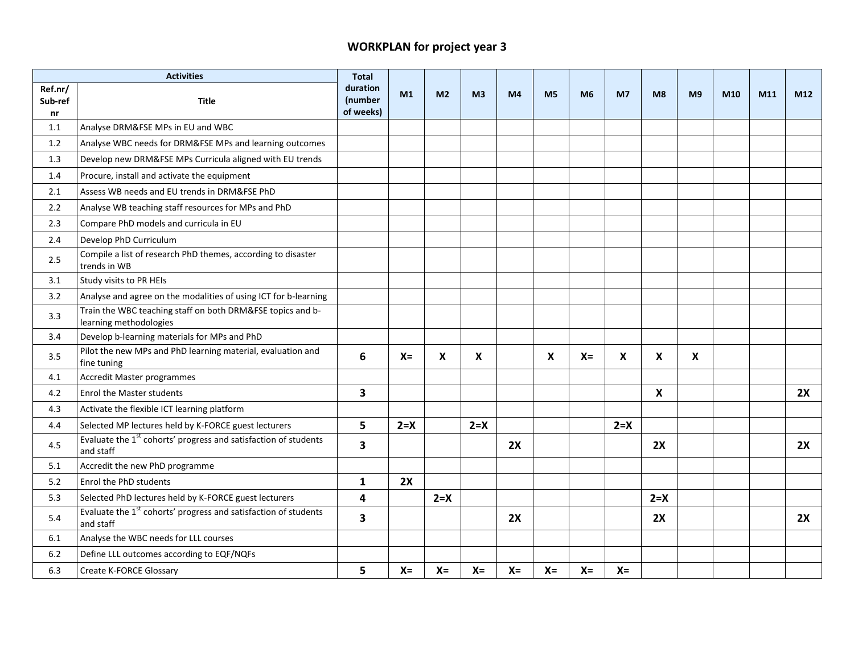## **WORKPLAN for project year 3**

|                          | <b>Activities</b>                                                                        | <b>Total</b>                     |         |                |                |                |                           |                |                |                           |                |     |     |     |
|--------------------------|------------------------------------------------------------------------------------------|----------------------------------|---------|----------------|----------------|----------------|---------------------------|----------------|----------------|---------------------------|----------------|-----|-----|-----|
| Ref.nr/<br>Sub-ref<br>nr | <b>Title</b>                                                                             | duration<br>(number<br>of weeks) | M1      | M <sub>2</sub> | M <sub>3</sub> | M <sub>4</sub> | M <sub>5</sub>            | M <sub>6</sub> | M <sub>7</sub> | M <sub>8</sub>            | M <sub>9</sub> | M10 | M11 | M12 |
| 1.1                      | Analyse DRM&FSE MPs in EU and WBC                                                        |                                  |         |                |                |                |                           |                |                |                           |                |     |     |     |
| 1.2                      | Analyse WBC needs for DRM&FSE MPs and learning outcomes                                  |                                  |         |                |                |                |                           |                |                |                           |                |     |     |     |
| 1.3                      | Develop new DRM&FSE MPs Curricula aligned with EU trends                                 |                                  |         |                |                |                |                           |                |                |                           |                |     |     |     |
| 1.4                      | Procure, install and activate the equipment                                              |                                  |         |                |                |                |                           |                |                |                           |                |     |     |     |
| 2.1                      | Assess WB needs and EU trends in DRM&FSE PhD                                             |                                  |         |                |                |                |                           |                |                |                           |                |     |     |     |
| 2.2                      | Analyse WB teaching staff resources for MPs and PhD                                      |                                  |         |                |                |                |                           |                |                |                           |                |     |     |     |
| 2.3                      | Compare PhD models and curricula in EU                                                   |                                  |         |                |                |                |                           |                |                |                           |                |     |     |     |
| 2.4                      | Develop PhD Curriculum                                                                   |                                  |         |                |                |                |                           |                |                |                           |                |     |     |     |
| 2.5                      | Compile a list of research PhD themes, according to disaster<br>trends in WB             |                                  |         |                |                |                |                           |                |                |                           |                |     |     |     |
| 3.1                      | Study visits to PR HEIs                                                                  |                                  |         |                |                |                |                           |                |                |                           |                |     |     |     |
| 3.2                      | Analyse and agree on the modalities of using ICT for b-learning                          |                                  |         |                |                |                |                           |                |                |                           |                |     |     |     |
| 3.3                      | Train the WBC teaching staff on both DRM&FSE topics and b-<br>learning methodologies     |                                  |         |                |                |                |                           |                |                |                           |                |     |     |     |
| 3.4                      | Develop b-learning materials for MPs and PhD                                             |                                  |         |                |                |                |                           |                |                |                           |                |     |     |     |
| 3.5                      | Pilot the new MPs and PhD learning material, evaluation and<br>fine tuning               | 6                                | $X =$   | X              | X              |                | $\boldsymbol{\mathsf{X}}$ | $X =$          | X              | $\boldsymbol{\mathsf{X}}$ | X              |     |     |     |
| 4.1                      | Accredit Master programmes                                                               |                                  |         |                |                |                |                           |                |                |                           |                |     |     |     |
| 4.2                      | <b>Enrol the Master students</b>                                                         | $\overline{\mathbf{3}}$          |         |                |                |                |                           |                |                | $\boldsymbol{\mathsf{X}}$ |                |     |     | 2X  |
| 4.3                      | Activate the flexible ICT learning platform                                              |                                  |         |                |                |                |                           |                |                |                           |                |     |     |     |
| 4.4                      | Selected MP lectures held by K-FORCE guest lecturers                                     | 5                                | $2 = X$ |                | $2 = X$        |                |                           |                | $2 = X$        |                           |                |     |     |     |
| 4.5                      | Evaluate the 1 <sup>st</sup> cohorts' progress and satisfaction of students<br>and staff | 3                                |         |                |                | 2X             |                           |                |                | 2X                        |                |     |     | 2X  |
| 5.1                      | Accredit the new PhD programme                                                           |                                  |         |                |                |                |                           |                |                |                           |                |     |     |     |
| 5.2                      | Enrol the PhD students                                                                   | $\mathbf{1}$                     | 2X      |                |                |                |                           |                |                |                           |                |     |     |     |
| 5.3                      | Selected PhD lectures held by K-FORCE guest lecturers                                    | 4                                |         | $2 = X$        |                |                |                           |                |                | $2 = X$                   |                |     |     |     |
| 5.4                      | Evaluate the 1 <sup>st</sup> cohorts' progress and satisfaction of students<br>and staff | 3                                |         |                |                | 2X             |                           |                |                | 2X                        |                |     |     | 2X  |
| 6.1                      | Analyse the WBC needs for LLL courses                                                    |                                  |         |                |                |                |                           |                |                |                           |                |     |     |     |
| 6.2                      | Define LLL outcomes according to EQF/NQFs                                                |                                  |         |                |                |                |                           |                |                |                           |                |     |     |     |
| 6.3                      | Create K-FORCE Glossary                                                                  | 5                                | $X =$   | $X =$          | $X =$          | $X =$          | $X =$                     | $X =$          | $X =$          |                           |                |     |     |     |